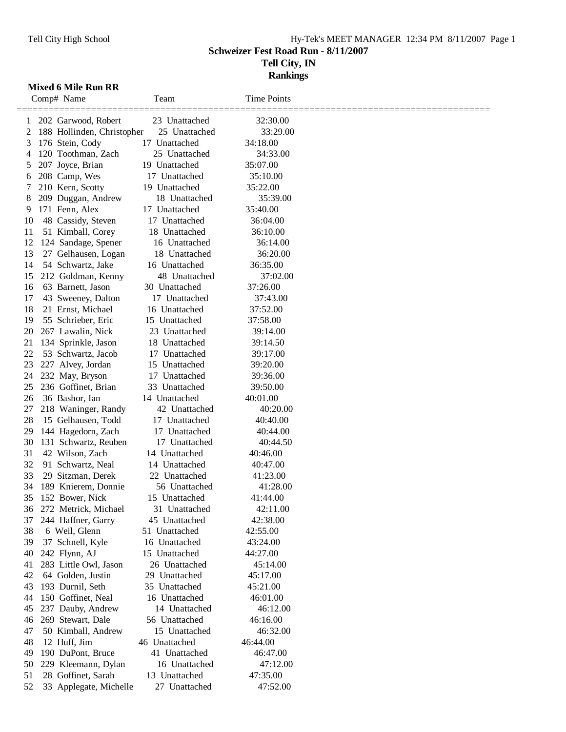### Tell City High School Hy-Tek's MEET MANAGER 12:34 PM 8/11/2007 Page 1 **Schweizer Fest Road Run - 8/11/2007 Tell City, IN Rankings**

#### **Mixed 6 Mile Run RR**

|          | Comp# Name                                 | Team                           | <b>Time Points</b>   |  |
|----------|--------------------------------------------|--------------------------------|----------------------|--|
| 1        | 202 Garwood, Robert                        | 23 Unattached                  | 32:30.00             |  |
| 2        | 188 Hollinden, Christopher                 | 25 Unattached                  | 33:29.00             |  |
| 3        | 176 Stein, Cody                            | 17 Unattached                  | 34:18.00             |  |
| 4        | 120 Toothman, Zach                         | 25 Unattached                  | 34:33.00             |  |
| 5        | 207 Joyce, Brian                           | 19 Unattached                  | 35:07.00             |  |
| 6        | 208 Camp, Wes                              | 17 Unattached                  | 35:10.00             |  |
| 7        | 210 Kern, Scotty                           | 19 Unattached                  | 35:22.00             |  |
| 8        | 209 Duggan, Andrew                         | 18 Unattached                  | 35:39.00             |  |
| 9        | 171 Fenn, Alex                             | 17 Unattached                  | 35:40.00             |  |
| 10       | 48 Cassidy, Steven                         | 17 Unattached                  | 36:04.00             |  |
| 11       | 51 Kimball, Corey                          | 18 Unattached                  | 36:10.00             |  |
| 12       | 124 Sandage, Spener                        | 16 Unattached                  | 36:14.00             |  |
| 13       | 27 Gelhausen, Logan                        | 18 Unattached                  | 36:20.00             |  |
| 14       | 54 Schwartz, Jake                          | 16 Unattached                  | 36:35.00             |  |
| 15       | 212 Goldman, Kenny                         | 48 Unattached                  | 37:02.00             |  |
| 16       | 63 Barnett, Jason                          | 30 Unattached                  | 37:26.00             |  |
| 17       | 43 Sweeney, Dalton                         | 17 Unattached                  | 37:43.00             |  |
| 18       | 21 Ernst, Michael                          | 16 Unattached                  | 37:52.00             |  |
| 19       | 55 Schrieber, Eric                         | 15 Unattached                  | 37:58.00             |  |
| 20       | 267 Lawalin, Nick                          | 23 Unattached                  | 39:14.00             |  |
| 21       | 134 Sprinkle, Jason                        | 18 Unattached                  | 39:14.50             |  |
| 22       | 53 Schwartz, Jacob                         | 17 Unattached                  | 39:17.00             |  |
| 23       | 227 Alvey, Jordan                          | Unattached<br>15               | 39:20.00             |  |
| 24       | 232 May, Bryson                            | 17 Unattached                  | 39:36.00             |  |
| 25       | 236 Goffinet, Brian                        | 33 Unattached                  | 39:50.00             |  |
| 26       | 36 Bashor, Ian                             | 14 Unattached                  | 40:01.00             |  |
| 27       | 218 Waninger, Randy                        | 42 Unattached                  | 40:20.00             |  |
| 28       | 15 Gelhausen, Todd                         | 17 Unattached                  | 40:40.00             |  |
| 29       | 144 Hagedorn, Zach                         | 17 Unattached                  | 40:44.00             |  |
| 30       | 131 Schwartz, Reuben                       | 17 Unattached                  | 40:44.50             |  |
| 31       | 42 Wilson, Zach                            | 14 Unattached                  | 40:46.00             |  |
| 32       | 91 Schwartz, Neal                          | 14 Unattached                  | 40:47.00             |  |
| 33       | 29 Sitzman, Derek                          | 22 Unattached                  | 41:23.00             |  |
| 34       | 189 Knierem, Donnie                        | 56 Unattached                  | 41:28.00             |  |
| 35       | 152 Bower, Nick                            | 15 Unattached                  | 41:44.00             |  |
|          | 36 272 Metrick, Michael                    | 31 Unattached                  | 42:11.00             |  |
| 37       | 244 Haffner, Garry                         | 45 Unattached                  | 42:38.00             |  |
| 38       | 6 Weil, Glenn                              | 51 Unattached                  | 42:55.00             |  |
| 39       | 37 Schnell, Kyle                           | 16 Unattached                  | 43:24.00<br>44:27.00 |  |
| 40<br>41 | 242 Flynn, AJ                              | 15 Unattached<br>26 Unattached | 45:14.00             |  |
| 42       | 283 Little Owl, Jason<br>64 Golden, Justin |                                | 45:17.00             |  |
| 43       | 193 Durnil, Seth                           | 29 Unattached<br>35 Unattached | 45:21.00             |  |
| 44       | 150 Goffinet, Neal                         | 16 Unattached                  | 46:01.00             |  |
| 45       | 237 Dauby, Andrew                          | 14 Unattached                  | 46:12.00             |  |
| 46       | 269 Stewart, Dale                          | 56 Unattached                  | 46:16.00             |  |
| 47       | 50 Kimball, Andrew                         | 15 Unattached                  | 46:32.00             |  |
| 48       | 12 Huff, Jim                               | 46 Unattached                  | 46:44.00             |  |
| 49       | 190 DuPont, Bruce                          | 41 Unattached                  | 46:47.00             |  |
| 50       | 229 Kleemann, Dylan                        | 16 Unattached                  | 47:12.00             |  |
| 51       | 28 Goffinet, Sarah                         | 13 Unattached                  | 47:35.00             |  |
| 52       | 33 Applegate, Michelle                     | 27 Unattached                  | 47:52.00             |  |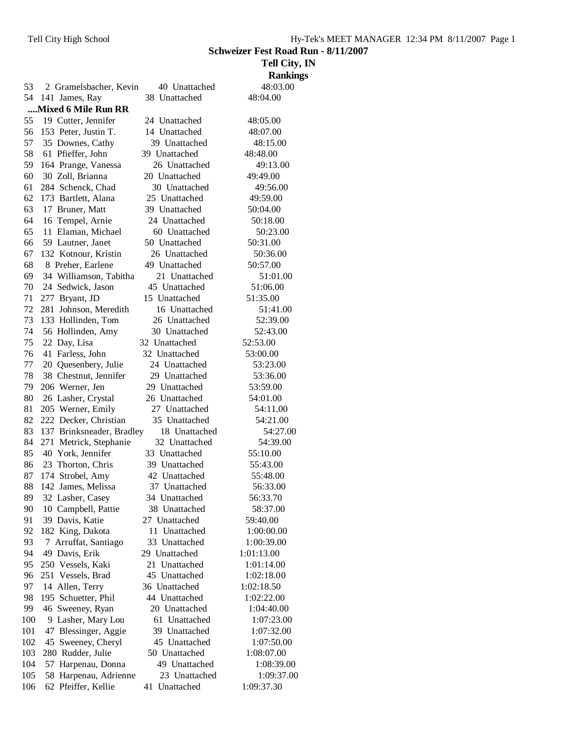**Schweizer Fest Road Run - 8/11/2007**

|     |                           |               | Tell City, IN   |
|-----|---------------------------|---------------|-----------------|
|     |                           |               | <b>Rankings</b> |
| 53  | 2 Gramelsbacher, Kevin    | 40 Unattached | 48:03.00        |
| 54  | 141 James, Ray            | 38 Unattached | 48:04.00        |
|     | Mixed 6 Mile Run RR       |               |                 |
| 55. | 19 Cutter, Jennifer       | 24 Unattached | 48:05.00        |
| 56  | 153 Peter, Justin T.      | 14 Unattached | 48:07.00        |
| 57  | 35 Downes, Cathy          | 39 Unattached | 48:15.00        |
| 58  | 61 Pfieffer, John         | 39 Unattached | 48:48.00        |
| 59  | 164 Prange, Vanessa       | 26 Unattached | 49:13.00        |
| 60  | 30 Zoll, Brianna          | 20 Unattached | 49:49.00        |
| 61  | 284 Schenck, Chad         | 30 Unattached | 49:56.00        |
| 62  | 173 Bartlett, Alana       | 25 Unattached | 49:59.00        |
| 63  | 17 Bruner, Matt           | 39 Unattached | 50:04.00        |
| 64  | 16 Tempel, Arnie          | 24 Unattached | 50:18.00        |
| 65  | 11 Elaman, Michael        | 60 Unattached | 50:23.00        |
| 66  | 59 Lautner, Janet         | 50 Unattached | 50:31.00        |
| 67  | 132 Kotnour, Kristin      | 26 Unattached | 50:36.00        |
| 68  | 8 Preher, Earlene         | 49 Unattached | 50:57.00        |
| 69  | 34 Williamson, Tabitha    | 21 Unattached | 51:01.00        |
| 70  | 24 Sedwick, Jason         | 45 Unattached | 51:06.00        |
| 71  | 277 Bryant, JD            | 15 Unattached | 51:35.00        |
| 72  | 281 Johnson, Meredith     | 16 Unattached | 51:41.00        |
| 73  | 133 Hollinden, Tom        | 26 Unattached | 52:39.00        |
| 74  | 56 Hollinden, Amy         | 30 Unattached | 52:43.00        |
| 75  | 22 Day, Lisa              | 32 Unattached | 52:53.00        |
| 76  | 41 Farless, John          | 32 Unattached | 53:00.00        |
| 77  | 20 Quesenbery, Julie      | 24 Unattached | 53:23.00        |
| 78  | 38 Chestnut, Jennifer     | 29 Unattached | 53:36.00        |
| 79  | 206 Werner, Jen           | 29 Unattached | 53:59.00        |
| 80  | 26 Lasher, Crystal        | 26 Unattached | 54:01.00        |
| 81  | 205 Werner, Emily         | 27 Unattached | 54:11.00        |
| 82  | 222 Decker, Christian     | 35 Unattached | 54:21.00        |
| 83  | 137 Brinksneader, Bradley | 18 Unattached | 54:27.00        |
| 84  | 271 Metrick, Stephanie    | 32 Unattached | 54:39.00        |
| 85  | 40 York, Jennifer         | 33 Unattached | 55:10.00        |
| 86  | 23 Thorton, Chris         | 39 Unattached | 55:43.00        |
| 87  | 174 Strobel, Amy          | 42 Unattached | 55:48.00        |
| 88  | 142 James, Melissa        | 37 Unattached | 56:33.00        |
| 89  | 32 Lasher, Casey          | 34 Unattached | 56:33.70        |
| 90  | 10 Campbell, Pattie       | 38 Unattached | 58:37.00        |
| 91  | 39 Davis, Katie           | 27 Unattached | 59:40.00        |
| 92  | 182 King, Dakota          | 11 Unattached | 1:00:00.00      |
| 93  | 7 Arruffat, Santiago      | 33 Unattached | 1:00:39.00      |
| 94  | 49 Davis, Erik            | 29 Unattached | 1:01:13.00      |
| 95  | 250 Vessels, Kaki         | 21 Unattached | 1:01:14.00      |
| 96  | 251 Vessels, Brad         | 45 Unattached | 1:02:18.00      |
| 97  | 14 Allen, Terry           | 36 Unattached | 1:02:18.50      |
| 98  | 195 Schuetter, Phil       | 44 Unattached | 1:02:22.00      |
| 99  | 46 Sweeney, Ryan          | 20 Unattached | 1:04:40.00      |
| 100 | Lasher, Mary Lou<br>9.    | 61 Unattached | 1:07:23.00      |
| 101 | 47 Blessinger, Aggie      | 39 Unattached | 1:07:32.00      |
| 102 | 45 Sweeney, Cheryl        | 45 Unattached | 1:07:50.00      |
| 103 | 280 Rudder, Julie         | 50 Unattached | 1:08:07.00      |
| 104 | 57 Harpenau, Donna        | 49 Unattached | 1:08:39.00      |
| 105 | 58 Harpenau, Adrienne     | 23 Unattached | 1:09:37.00      |
| 106 | 62 Pfeiffer, Kellie       | 41 Unattached | 1:09:37.30      |